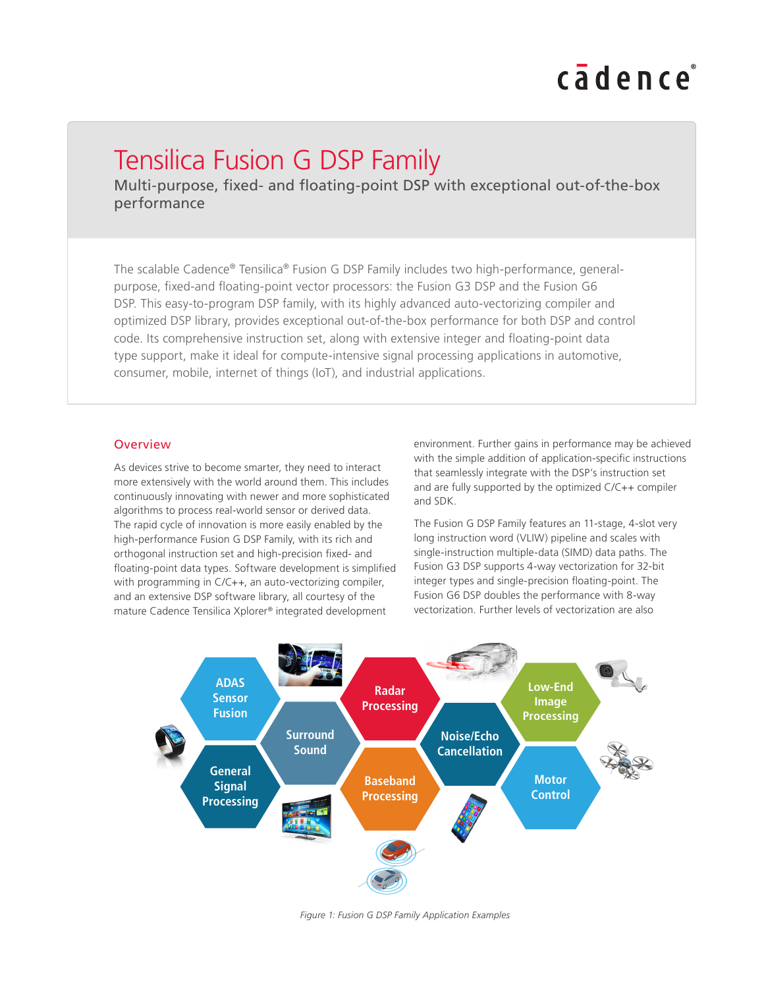# cadence

## Tensilica Fusion G DSP Family

Multi-purpose, fixed- and floating-point DSP with exceptional out-of-the-box performance

The scalable Cadence® Tensilica® Fusion G DSP Family includes two high-performance, generalpurpose, fxed-and foating-point vector processors: the Fusion G3 DSP and the Fusion G6 DSP. This easy-to-program DSP family, with its highly advanced auto-vectorizing compiler and optimized DSP library, provides exceptional out-of-the-box performance for both DSP and control code. Its comprehensive instruction set, along with extensive integer and foating-point data type support, make it ideal for compute-intensive signal processing applications in automotive, consumer, mobile, internet of things (IoT), and industrial applications.

#### **Overview**

As devices strive to become smarter, they need to interact more extensively with the world around them. This includes continuously innovating with newer and more sophisticated algorithms to process real-world sensor or derived data. The rapid cycle of innovation is more easily enabled by the high-performance Fusion G DSP Family, with its rich and orthogonal instruction set and high-precision fixed- and foating-point data types. Software development is simplifed with programming in C/C++, an auto-vectorizing compiler, and an extensive DSP software library, all courtesy of the mature Cadence Tensilica Xplorer® integrated development

environment. Further gains in performance may be achieved with the simple addition of application-specific instructions that seamlessly integrate with the DSP's instruction set and are fully supported by the optimized C/C++ compiler and SDK.

The Fusion G DSP Family features an 11-stage, 4-slot very long instruction word (VLIW) pipeline and scales with single-instruction multiple-data (SIMD) data paths. The Fusion G3 DSP supports 4-way vectorization for 32-bit integer types and single-precision foating-point. The Fusion G6 DSP doubles the performance with 8-way vectorization. Further levels of vectorization are also



*Figure 1: Fusion G DSP Family Application Examples*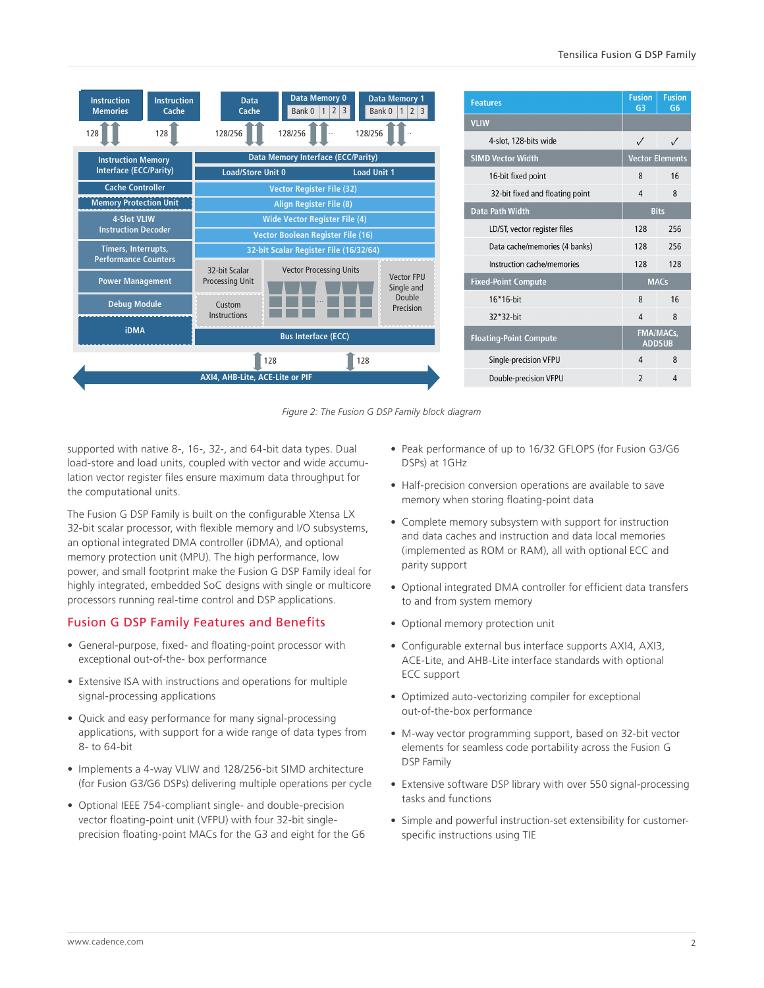|  | <b>Instruction</b><br><b>Memories</b>                                             | <b>Instruction</b><br>Cache     | <b>Data</b><br>Cache                                                             | Data Memory 0<br>Bank 0   1   2   3 |         | <b>Data Memory 1</b><br>Bank 0   1   2   3 | <b>Features</b><br><b>VLIW</b>  | <b>Fusion</b><br>G <sub>3</sub>   | <b>Fusion</b><br>G <sub>6</sub> |
|--|-----------------------------------------------------------------------------------|---------------------------------|----------------------------------------------------------------------------------|-------------------------------------|---------|--------------------------------------------|---------------------------------|-----------------------------------|---------------------------------|
|  | 128                                                                               | 128                             | 128/256                                                                          | 128/256                             | 128/256 |                                            | 4-slot, 128-bits wide           |                                   |                                 |
|  | <b>Instruction Memory</b><br><b>Interface (ECC/Parity)</b>                        |                                 | Data Memory Interface (ECC/Parity)                                               |                                     |         |                                            | <b>SIMD Vector Width</b>        | <b>Vector Elements</b>            |                                 |
|  |                                                                                   |                                 | <b>Load/Store Unit 0</b><br><b>Load Unit 1</b>                                   |                                     |         |                                            | 16-bit fixed point              | 8                                 | 16                              |
|  | <b>Cache Controller</b>                                                           |                                 | <b>Vector Register File (32)</b>                                                 |                                     |         |                                            | 32-bit fixed and floating point | $\overline{4}$                    | 8                               |
|  | <b>Memory Protection Unit</b><br><b>4-Slot VLIW</b><br><b>Instruction Decoder</b> |                                 | <b>Align Register File (8)</b>                                                   |                                     |         |                                            | Data Path Width                 |                                   | <b>Bits</b>                     |
|  |                                                                                   |                                 | <b>Wide Vector Register File (4)</b><br><b>Vector Boolean Register File (16)</b> |                                     |         |                                            | LD/ST, vector register files    | 128                               | 256                             |
|  | Timers, Interrupts,                                                               |                                 | 32-bit Scalar Register File (16/32/64)                                           |                                     |         |                                            | Data cache/memories (4 banks)   | 128                               | 256                             |
|  | <b>Performance Counters</b>                                                       |                                 | 32-bit Scalar                                                                    | <b>Vector Processing Units</b>      |         |                                            | Instruction cache/memories      | 128                               | 128                             |
|  | <b>Power Management</b>                                                           |                                 | <b>Processing Unit</b>                                                           |                                     |         | <b>Vector FPU</b><br>Single and            | <b>Fixed-Point Compute</b>      |                                   | <b>MACs</b>                     |
|  |                                                                                   | <b>Debug Module</b>             |                                                                                  |                                     |         | Double<br>Precision                        | $16*16$ -bit                    | 8                                 | 16                              |
|  |                                                                                   |                                 | <b>Instructions</b>                                                              |                                     |         |                                            | 32*32-bit                       | $\overline{4}$                    | 8                               |
|  | <b>iDMA</b>                                                                       |                                 | <b>Bus Interface (ECC)</b>                                                       |                                     |         |                                            | <b>Floating-Point Compute</b>   | <b>FMA/MACs,</b><br><b>ADDSUB</b> |                                 |
|  |                                                                                   |                                 |                                                                                  | 128                                 | 128     |                                            | Single-precision VFPU           | $\overline{4}$                    | 8                               |
|  |                                                                                   | AXI4, AHB-Lite, ACE-Lite or PIF |                                                                                  |                                     |         |                                            | Double-precision VFPU           | $\overline{2}$                    | 4                               |
|  |                                                                                   |                                 |                                                                                  |                                     |         |                                            |                                 |                                   |                                 |

*Figure 2: The Fusion G DSP Family block diagram*

supported with native 8-, 16-, 32-, and 64-bit data types. Dual load-store and load units, coupled with vector and wide accumulation vector register files ensure maximum data throughput for the computational units.

The Fusion G DSP Family is built on the configurable Xtensa LX 32-bit scalar processor, with fexible memory and I/O subsystems, an optional integrated DMA controller (iDMA), and optional memory protection unit (MPU). The high performance, low power, and small footprint make the Fusion G DSP Family ideal for highly integrated, embedded SoC designs with single or multicore processors running real-time control and DSP applications.

#### Fusion G DSP Family Features and Benefits

- General-purpose, fixed- and floating-point processor with exceptional out-of-the- box performance
- Extensive ISA with instructions and operations for multiple signal-processing applications
- Quick and easy performance for many signal-processing applications, with support for a wide range of data types from 8- to 64-bit
- Implements a 4-way VLIW and 128/256-bit SIMD architecture (for Fusion G3/G6 DSPs) delivering multiple operations per cycle
- Optional IEEE 754-compliant single- and double-precision vector floating-point unit (VFPU) with four 32-bit singleprecision floating-point MACs for the G3 and eight for the G6
- Peak performance of up to 16/32 GFLOPS (for Fusion G3/G6 DSPs) at 1GHz
- Half-precision conversion operations are available to save memory when storing floating-point data
- Complete memory subsystem with support for instruction and data caches and instruction and data local memories (implemented as ROM or RAM), all with optional ECC and parity support
- Optional integrated DMA controller for efficient data transfers to and from system memory
- Optional memory protection unit
- Configurable external bus interface supports AXI4, AXI3, ACE-Lite, and AHB-Lite interface standards with optional ECC support
- Optimized auto-vectorizing compiler for exceptional out-of-the-box performance
- M-way vector programming support, based on 32-bit vector elements for seamless code portability across the Fusion G DSP Family
- Extensive software DSP library with over 550 signal-processing tasks and functions
- Simple and powerful instruction-set extensibility for customerspecific instructions using TIE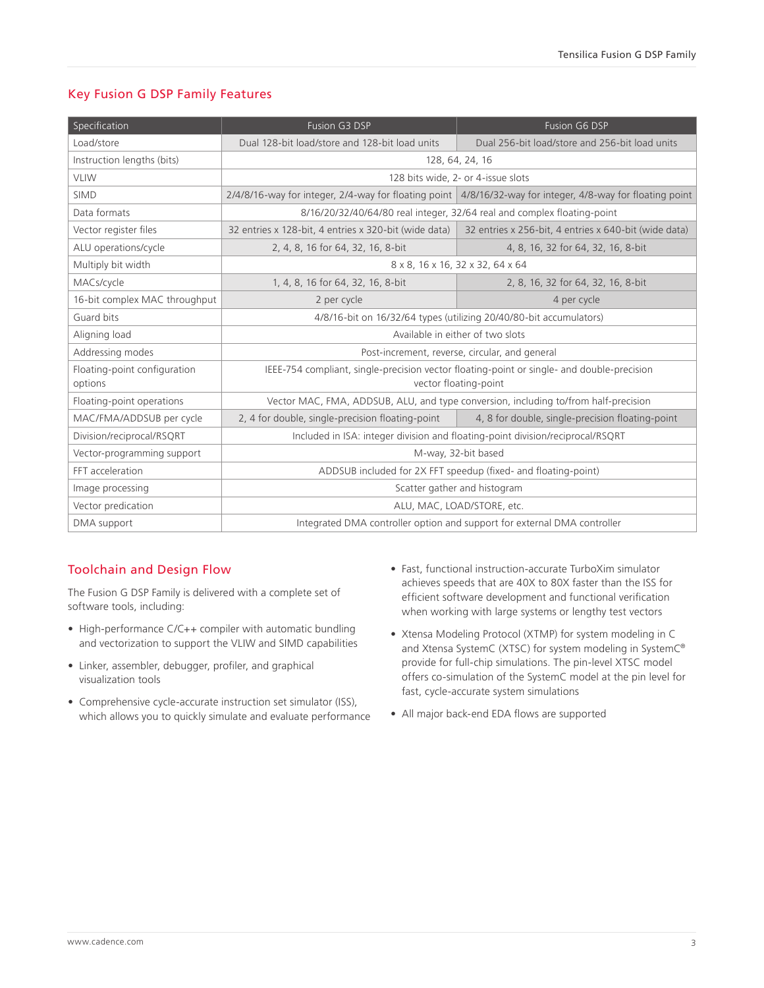#### Key Fusion G DSP Family Features

| Specification                           | Fusion G3 DSP                                                                                                       | Fusion G6 DSP                                                                                              |  |  |  |
|-----------------------------------------|---------------------------------------------------------------------------------------------------------------------|------------------------------------------------------------------------------------------------------------|--|--|--|
| Load/store                              | Dual 128-bit load/store and 128-bit load units                                                                      | Dual 256-bit load/store and 256-bit load units                                                             |  |  |  |
| Instruction lengths (bits)              | 128, 64, 24, 16                                                                                                     |                                                                                                            |  |  |  |
| <b>VLIW</b>                             | 128 bits wide, 2- or 4-issue slots                                                                                  |                                                                                                            |  |  |  |
| <b>SIMD</b>                             |                                                                                                                     | 2/4/8/16-way for integer, 2/4-way for floating point 4/8/16/32-way for integer, 4/8-way for floating point |  |  |  |
| Data formats                            | 8/16/20/32/40/64/80 real integer, 32/64 real and complex floating-point                                             |                                                                                                            |  |  |  |
| Vector register files                   | 32 entries x 128-bit, 4 entries x 320-bit (wide data)                                                               | 32 entries x 256-bit, 4 entries x 640-bit (wide data)                                                      |  |  |  |
| ALU operations/cycle                    | 2, 4, 8, 16 for 64, 32, 16, 8-bit                                                                                   | 4, 8, 16, 32 for 64, 32, 16, 8-bit                                                                         |  |  |  |
| Multiply bit width                      | 8 x 8, 16 x 16, 32 x 32, 64 x 64                                                                                    |                                                                                                            |  |  |  |
| MACs/cycle                              | 1, 4, 8, 16 for 64, 32, 16, 8-bit                                                                                   | 2, 8, 16, 32 for 64, 32, 16, 8-bit                                                                         |  |  |  |
| 16-bit complex MAC throughput           | 2 per cycle                                                                                                         | 4 per cycle                                                                                                |  |  |  |
| Guard bits                              | 4/8/16-bit on 16/32/64 types (utilizing 20/40/80-bit accumulators)                                                  |                                                                                                            |  |  |  |
| Aligning load                           | Available in either of two slots                                                                                    |                                                                                                            |  |  |  |
| Addressing modes                        | Post-increment, reverse, circular, and general                                                                      |                                                                                                            |  |  |  |
| Floating-point configuration<br>options | IEEE-754 compliant, single-precision vector floating-point or single- and double-precision<br>vector floating-point |                                                                                                            |  |  |  |
| Floating-point operations               | Vector MAC, FMA, ADDSUB, ALU, and type conversion, including to/from half-precision                                 |                                                                                                            |  |  |  |
| MAC/FMA/ADDSUB per cycle                | 2, 4 for double, single-precision floating-point                                                                    | 4, 8 for double, single-precision floating-point                                                           |  |  |  |
| Division/reciprocal/RSQRT               | Included in ISA: integer division and floating-point division/reciprocal/RSQRT                                      |                                                                                                            |  |  |  |
| Vector-programming support              | M-way, 32-bit based                                                                                                 |                                                                                                            |  |  |  |
| FFT acceleration                        | ADDSUB included for 2X FFT speedup (fixed- and floating-point)                                                      |                                                                                                            |  |  |  |
| Image processing                        | Scatter gather and histogram                                                                                        |                                                                                                            |  |  |  |
| Vector predication                      | ALU, MAC, LOAD/STORE, etc.                                                                                          |                                                                                                            |  |  |  |
| DMA support                             | Integrated DMA controller option and support for external DMA controller                                            |                                                                                                            |  |  |  |

### Toolchain and Design Flow

The Fusion G DSP Family is delivered with a complete set of software tools, including:

- High-performance C/C++ compiler with automatic bundling and vectorization to support the VLIW and SIMD capabilities
- Linker, assembler, debugger, profiler, and graphical visualization tools
- Comprehensive cycle-accurate instruction set simulator (ISS), which allows you to quickly simulate and evaluate performance
- Fast, functional instruction-accurate TurboXim simulator achieves speeds that are 40X to 80X faster than the ISS for efficient software development and functional verification when working with large systems or lengthy test vectors
- Xtensa Modeling Protocol (XTMP) for system modeling in C and Xtensa SystemC (XTSC) for system modeling in SystemC® provide for full-chip simulations. The pin-level XTSC model offers co-simulation of the SystemC model at the pin level for fast, cycle-accurate system simulations
- All major back-end EDA flows are supported